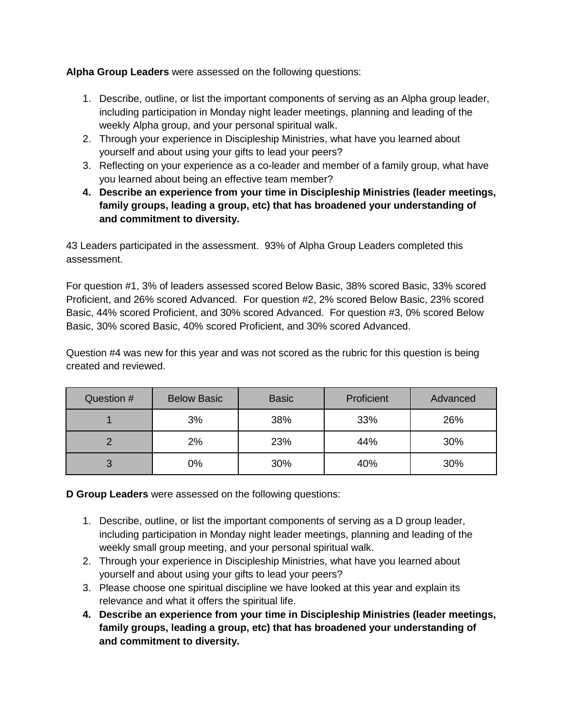**Alpha Group Leaders** were assessed on the following questions:

- 1. Describe, outline, or list the important components of serving as an Alpha group leader, including participation in Monday night leader meetings, planning and leading of the weekly Alpha group, and your personal spiritual walk.
- 2. Through your experience in Discipleship Ministries, what have you learned about yourself and about using your gifts to lead your peers?
- 3. Reflecting on your experience as a co-leader and member of a family group, what have you learned about being an effective team member?
- **4. Describe an experience from your time in Discipleship Ministries (leader meetings, family groups, leading a group, etc) that has broadened your understanding of and commitment to diversity.**

43 Leaders participated in the assessment. 93% of Alpha Group Leaders completed this assessment.

For question #1, 3% of leaders assessed scored Below Basic, 38% scored Basic, 33% scored Proficient, and 26% scored Advanced. For question #2, 2% scored Below Basic, 23% scored Basic, 44% scored Proficient, and 30% scored Advanced. For question #3, 0% scored Below Basic, 30% scored Basic, 40% scored Proficient, and 30% scored Advanced.

Question #4 was new for this year and was not scored as the rubric for this question is being created and reviewed.

| Question # | <b>Below Basic</b> | <b>Basic</b> | Proficient | Advanced |
|------------|--------------------|--------------|------------|----------|
|            | 3%                 | 38%          | 33%        | 26%      |
|            | 2%                 | 23%          | 44%        | 30%      |
| 2<br>v     | 0%                 | 30%          | 40%        | 30%      |

**D Group Leaders** were assessed on the following questions:

- 1. Describe, outline, or list the important components of serving as a D group leader, including participation in Monday night leader meetings, planning and leading of the weekly small group meeting, and your personal spiritual walk.
- 2. Through your experience in Discipleship Ministries, what have you learned about yourself and about using your gifts to lead your peers?
- 3. Please choose one spiritual discipline we have looked at this year and explain its relevance and what it offers the spiritual life.
- **4. Describe an experience from your time in Discipleship Ministries (leader meetings, family groups, leading a group, etc) that has broadened your understanding of and commitment to diversity.**